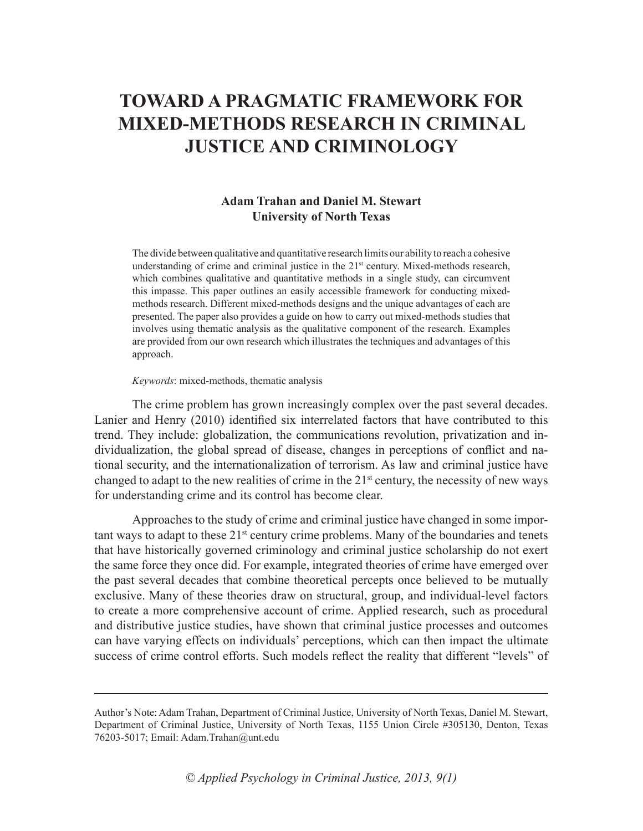# **Toward a Pragmatic Framework for Mixed-Methods Research in Criminal Justice and Criminology**

## **Adam Trahan and Daniel M. Stewart University of North Texas**

The divide between qualitative and quantitative research limits our ability to reach a cohesive understanding of crime and criminal justice in the 21<sup>st</sup> century. Mixed-methods research, which combines qualitative and quantitative methods in a single study, can circumvent this impasse. This paper outlines an easily accessible framework for conducting mixedmethods research. Different mixed-methods designs and the unique advantages of each are presented. The paper also provides a guide on how to carry out mixed-methods studies that involves using thematic analysis as the qualitative component of the research. Examples are provided from our own research which illustrates the techniques and advantages of this approach.

#### *Keywords*: mixed-methods, thematic analysis

The crime problem has grown increasingly complex over the past several decades. Lanier and Henry (2010) identified six interrelated factors that have contributed to this trend. They include: globalization, the communications revolution, privatization and individualization, the global spread of disease, changes in perceptions of conflict and national security, and the internationalization of terrorism. As law and criminal justice have changed to adapt to the new realities of crime in the  $21<sup>st</sup>$  century, the necessity of new ways for understanding crime and its control has become clear.

Approaches to the study of crime and criminal justice have changed in some important ways to adapt to these 21<sup>st</sup> century crime problems. Many of the boundaries and tenets that have historically governed criminology and criminal justice scholarship do not exert the same force they once did. For example, integrated theories of crime have emerged over the past several decades that combine theoretical percepts once believed to be mutually exclusive. Many of these theories draw on structural, group, and individual-level factors to create a more comprehensive account of crime. Applied research, such as procedural and distributive justice studies, have shown that criminal justice processes and outcomes can have varying effects on individuals' perceptions, which can then impact the ultimate success of crime control efforts. Such models reflect the reality that different "levels" of

Author's Note: Adam Trahan, Department of Criminal Justice, University of North Texas, Daniel M. Stewart, Department of Criminal Justice, University of North Texas, 1155 Union Circle #305130, Denton, Texas 76203-5017; Email: Adam.Trahan@unt.edu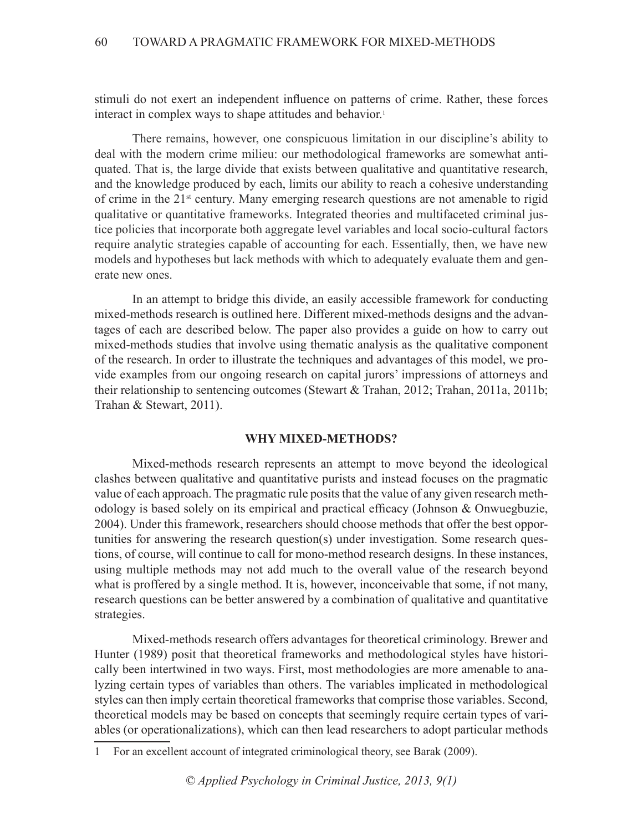stimuli do not exert an independent influence on patterns of crime. Rather, these forces interact in complex ways to shape attitudes and behavior.<sup>1</sup>

There remains, however, one conspicuous limitation in our discipline's ability to deal with the modern crime milieu: our methodological frameworks are somewhat antiquated. That is, the large divide that exists between qualitative and quantitative research, and the knowledge produced by each, limits our ability to reach a cohesive understanding of crime in the 21st century. Many emerging research questions are not amenable to rigid qualitative or quantitative frameworks. Integrated theories and multifaceted criminal justice policies that incorporate both aggregate level variables and local socio-cultural factors require analytic strategies capable of accounting for each. Essentially, then, we have new models and hypotheses but lack methods with which to adequately evaluate them and generate new ones.

In an attempt to bridge this divide, an easily accessible framework for conducting mixed-methods research is outlined here. Different mixed-methods designs and the advantages of each are described below. The paper also provides a guide on how to carry out mixed-methods studies that involve using thematic analysis as the qualitative component of the research. In order to illustrate the techniques and advantages of this model, we provide examples from our ongoing research on capital jurors' impressions of attorneys and their relationship to sentencing outcomes (Stewart & Trahan, 2012; Trahan, 2011a, 2011b; Trahan & Stewart, 2011).

## **Why Mixed-Methods?**

Mixed-methods research represents an attempt to move beyond the ideological clashes between qualitative and quantitative purists and instead focuses on the pragmatic value of each approach. The pragmatic rule posits that the value of any given research methodology is based solely on its empirical and practical efficacy (Johnson & Onwuegbuzie, 2004). Under this framework, researchers should choose methods that offer the best opportunities for answering the research question(s) under investigation. Some research questions, of course, will continue to call for mono-method research designs. In these instances, using multiple methods may not add much to the overall value of the research beyond what is proffered by a single method. It is, however, inconceivable that some, if not many, research questions can be better answered by a combination of qualitative and quantitative strategies.

Mixed-methods research offers advantages for theoretical criminology. Brewer and Hunter (1989) posit that theoretical frameworks and methodological styles have historically been intertwined in two ways. First, most methodologies are more amenable to analyzing certain types of variables than others. The variables implicated in methodological styles can then imply certain theoretical frameworks that comprise those variables. Second, theoretical models may be based on concepts that seemingly require certain types of variables (or operationalizations), which can then lead researchers to adopt particular methods

<sup>1</sup> For an excellent account of integrated criminological theory, see Barak (2009).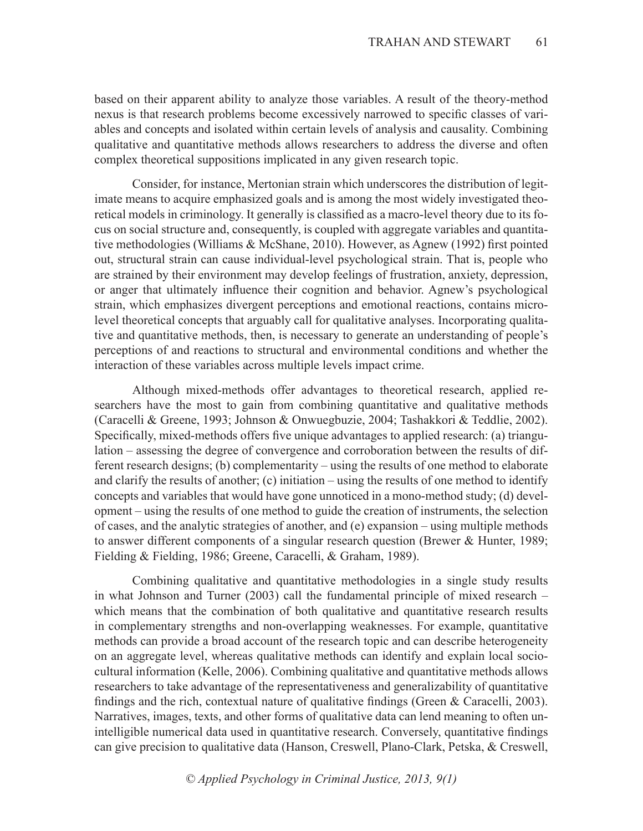based on their apparent ability to analyze those variables. A result of the theory-method nexus is that research problems become excessively narrowed to specific classes of variables and concepts and isolated within certain levels of analysis and causality. Combining qualitative and quantitative methods allows researchers to address the diverse and often complex theoretical suppositions implicated in any given research topic.

Consider, for instance, Mertonian strain which underscores the distribution of legitimate means to acquire emphasized goals and is among the most widely investigated theoretical models in criminology. It generally is classified as a macro-level theory due to its focus on social structure and, consequently, is coupled with aggregate variables and quantitative methodologies (Williams & McShane, 2010). However, as Agnew (1992) first pointed out, structural strain can cause individual-level psychological strain. That is, people who are strained by their environment may develop feelings of frustration, anxiety, depression, or anger that ultimately influence their cognition and behavior. Agnew's psychological strain, which emphasizes divergent perceptions and emotional reactions, contains microlevel theoretical concepts that arguably call for qualitative analyses. Incorporating qualitative and quantitative methods, then, is necessary to generate an understanding of people's perceptions of and reactions to structural and environmental conditions and whether the interaction of these variables across multiple levels impact crime.

Although mixed-methods offer advantages to theoretical research, applied researchers have the most to gain from combining quantitative and qualitative methods (Caracelli & Greene, 1993; Johnson & Onwuegbuzie, 2004; Tashakkori & Teddlie, 2002). Specifically, mixed-methods offers five unique advantages to applied research: (a) triangulation – assessing the degree of convergence and corroboration between the results of different research designs; (b) complementarity – using the results of one method to elaborate and clarify the results of another; (c) initiation – using the results of one method to identify concepts and variables that would have gone unnoticed in a mono-method study; (d) development – using the results of one method to guide the creation of instruments, the selection of cases, and the analytic strategies of another, and (e) expansion – using multiple methods to answer different components of a singular research question (Brewer & Hunter, 1989; Fielding & Fielding, 1986; Greene, Caracelli, & Graham, 1989).

Combining qualitative and quantitative methodologies in a single study results in what Johnson and Turner (2003) call the fundamental principle of mixed research – which means that the combination of both qualitative and quantitative research results in complementary strengths and non-overlapping weaknesses. For example, quantitative methods can provide a broad account of the research topic and can describe heterogeneity on an aggregate level, whereas qualitative methods can identify and explain local sociocultural information (Kelle, 2006). Combining qualitative and quantitative methods allows researchers to take advantage of the representativeness and generalizability of quantitative findings and the rich, contextual nature of qualitative findings (Green & Caracelli, 2003). Narratives, images, texts, and other forms of qualitative data can lend meaning to often unintelligible numerical data used in quantitative research. Conversely, quantitative findings can give precision to qualitative data (Hanson, Creswell, Plano-Clark, Petska, & Creswell,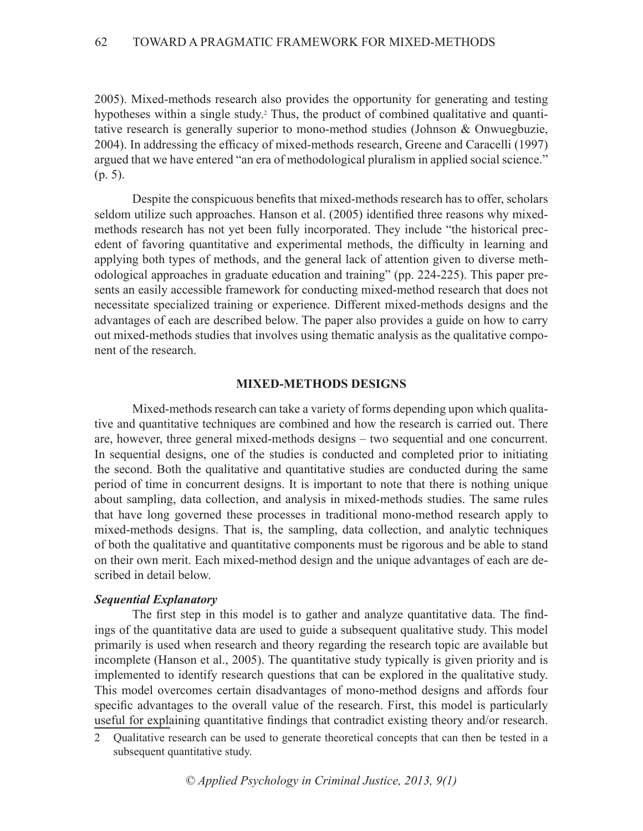2005). Mixed-methods research also provides the opportunity for generating and testing hypotheses within a single study.<sup>2</sup> Thus, the product of combined qualitative and quantitative research is generally superior to mono-method studies (Johnson & Onwuegbuzie, 2004). In addressing the efficacy of mixed-methods research, Greene and Caracelli (1997) argued that we have entered "an era of methodological pluralism in applied social science." (p. 5).

Despite the conspicuous benefits that mixed-methods research has to offer, scholars seldom utilize such approaches. Hanson et al. (2005) identified three reasons why mixedmethods research has not yet been fully incorporated. They include "the historical precedent of favoring quantitative and experimental methods, the difficulty in learning and applying both types of methods, and the general lack of attention given to diverse methodological approaches in graduate education and training" (pp. 224-225). This paper presents an easily accessible framework for conducting mixed-method research that does not necessitate specialized training or experience. Different mixed-methods designs and the advantages of each are described below. The paper also provides a guide on how to carry out mixed-methods studies that involves using thematic analysis as the qualitative component of the research.

#### **Mixed-Methods Designs**

Mixed-methods research can take a variety of forms depending upon which qualitative and quantitative techniques are combined and how the research is carried out. There are, however, three general mixed-methods designs – two sequential and one concurrent. In sequential designs, one of the studies is conducted and completed prior to initiating the second. Both the qualitative and quantitative studies are conducted during the same period of time in concurrent designs. It is important to note that there is nothing unique about sampling, data collection, and analysis in mixed-methods studies. The same rules that have long governed these processes in traditional mono-method research apply to mixed-methods designs. That is, the sampling, data collection, and analytic techniques of both the qualitative and quantitative components must be rigorous and be able to stand on their own merit. Each mixed-method design and the unique advantages of each are described in detail below.

## *Sequential Explanatory*

The first step in this model is to gather and analyze quantitative data. The findings of the quantitative data are used to guide a subsequent qualitative study. This model primarily is used when research and theory regarding the research topic are available but incomplete (Hanson et al., 2005). The quantitative study typically is given priority and is implemented to identify research questions that can be explored in the qualitative study. This model overcomes certain disadvantages of mono-method designs and affords four specific advantages to the overall value of the research. First, this model is particularly useful for explaining quantitative findings that contradict existing theory and/or research.

<sup>2</sup> Qualitative research can be used to generate theoretical concepts that can then be tested in a subsequent quantitative study.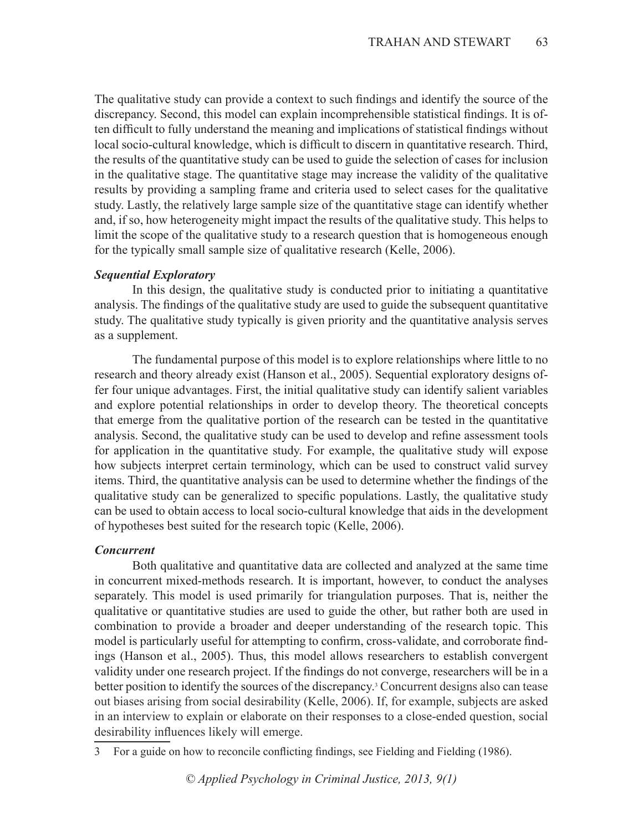The qualitative study can provide a context to such findings and identify the source of the discrepancy. Second, this model can explain incomprehensible statistical findings. It is often difficult to fully understand the meaning and implications of statistical findings without local socio-cultural knowledge, which is difficult to discern in quantitative research. Third, the results of the quantitative study can be used to guide the selection of cases for inclusion in the qualitative stage. The quantitative stage may increase the validity of the qualitative results by providing a sampling frame and criteria used to select cases for the qualitative study. Lastly, the relatively large sample size of the quantitative stage can identify whether and, if so, how heterogeneity might impact the results of the qualitative study. This helps to limit the scope of the qualitative study to a research question that is homogeneous enough for the typically small sample size of qualitative research (Kelle, 2006).

# *Sequential Exploratory*

In this design, the qualitative study is conducted prior to initiating a quantitative analysis. The findings of the qualitative study are used to guide the subsequent quantitative study. The qualitative study typically is given priority and the quantitative analysis serves as a supplement.

The fundamental purpose of this model is to explore relationships where little to no research and theory already exist (Hanson et al., 2005). Sequential exploratory designs offer four unique advantages. First, the initial qualitative study can identify salient variables and explore potential relationships in order to develop theory. The theoretical concepts that emerge from the qualitative portion of the research can be tested in the quantitative analysis. Second, the qualitative study can be used to develop and refine assessment tools for application in the quantitative study. For example, the qualitative study will expose how subjects interpret certain terminology, which can be used to construct valid survey items. Third, the quantitative analysis can be used to determine whether the findings of the qualitative study can be generalized to specific populations. Lastly, the qualitative study can be used to obtain access to local socio-cultural knowledge that aids in the development of hypotheses best suited for the research topic (Kelle, 2006).

# *Concurrent*

Both qualitative and quantitative data are collected and analyzed at the same time in concurrent mixed-methods research. It is important, however, to conduct the analyses separately. This model is used primarily for triangulation purposes. That is, neither the qualitative or quantitative studies are used to guide the other, but rather both are used in combination to provide a broader and deeper understanding of the research topic. This model is particularly useful for attempting to confirm, cross-validate, and corroborate findings (Hanson et al., 2005). Thus, this model allows researchers to establish convergent validity under one research project. If the findings do not converge, researchers will be in a better position to identify the sources of the discrepancy.<sup>3</sup> Concurrent designs also can tease out biases arising from social desirability (Kelle, 2006). If, for example, subjects are asked in an interview to explain or elaborate on their responses to a close-ended question, social desirability influences likely will emerge.

<sup>3</sup> For a guide on how to reconcile conflicting findings, see Fielding and Fielding (1986).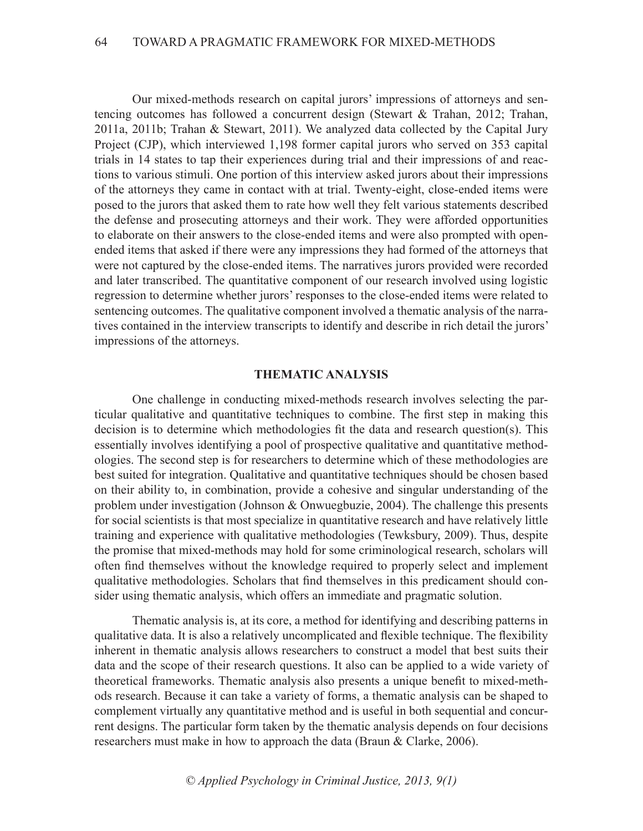Our mixed-methods research on capital jurors' impressions of attorneys and sentencing outcomes has followed a concurrent design (Stewart & Trahan, 2012; Trahan, 2011a, 2011b; Trahan & Stewart, 2011). We analyzed data collected by the Capital Jury Project (CJP), which interviewed 1,198 former capital jurors who served on 353 capital trials in 14 states to tap their experiences during trial and their impressions of and reactions to various stimuli. One portion of this interview asked jurors about their impressions of the attorneys they came in contact with at trial. Twenty-eight, close-ended items were posed to the jurors that asked them to rate how well they felt various statements described the defense and prosecuting attorneys and their work. They were afforded opportunities to elaborate on their answers to the close-ended items and were also prompted with openended items that asked if there were any impressions they had formed of the attorneys that were not captured by the close-ended items. The narratives jurors provided were recorded and later transcribed. The quantitative component of our research involved using logistic regression to determine whether jurors' responses to the close-ended items were related to sentencing outcomes. The qualitative component involved a thematic analysis of the narratives contained in the interview transcripts to identify and describe in rich detail the jurors' impressions of the attorneys.

#### **Thematic Analysis**

One challenge in conducting mixed-methods research involves selecting the particular qualitative and quantitative techniques to combine. The first step in making this decision is to determine which methodologies fit the data and research question(s). This essentially involves identifying a pool of prospective qualitative and quantitative methodologies. The second step is for researchers to determine which of these methodologies are best suited for integration. Qualitative and quantitative techniques should be chosen based on their ability to, in combination, provide a cohesive and singular understanding of the problem under investigation (Johnson & Onwuegbuzie, 2004). The challenge this presents for social scientists is that most specialize in quantitative research and have relatively little training and experience with qualitative methodologies (Tewksbury, 2009). Thus, despite the promise that mixed-methods may hold for some criminological research, scholars will often find themselves without the knowledge required to properly select and implement qualitative methodologies. Scholars that find themselves in this predicament should consider using thematic analysis, which offers an immediate and pragmatic solution.

Thematic analysis is, at its core, a method for identifying and describing patterns in qualitative data. It is also a relatively uncomplicated and flexible technique. The flexibility inherent in thematic analysis allows researchers to construct a model that best suits their data and the scope of their research questions. It also can be applied to a wide variety of theoretical frameworks. Thematic analysis also presents a unique benefit to mixed-methods research. Because it can take a variety of forms, a thematic analysis can be shaped to complement virtually any quantitative method and is useful in both sequential and concurrent designs. The particular form taken by the thematic analysis depends on four decisions researchers must make in how to approach the data (Braun & Clarke, 2006).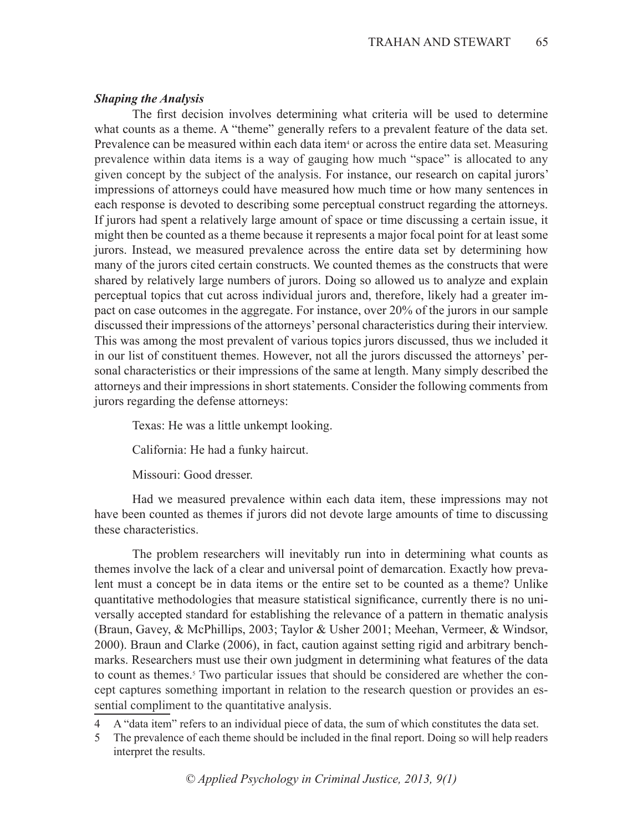## *Shaping the Analysis*

The first decision involves determining what criteria will be used to determine what counts as a theme. A "theme" generally refers to a prevalent feature of the data set. Prevalence can be measured within each data item<sup>4</sup> or across the entire data set. Measuring prevalence within data items is a way of gauging how much "space" is allocated to any given concept by the subject of the analysis. For instance, our research on capital jurors' impressions of attorneys could have measured how much time or how many sentences in each response is devoted to describing some perceptual construct regarding the attorneys. If jurors had spent a relatively large amount of space or time discussing a certain issue, it might then be counted as a theme because it represents a major focal point for at least some jurors. Instead, we measured prevalence across the entire data set by determining how many of the jurors cited certain constructs. We counted themes as the constructs that were shared by relatively large numbers of jurors. Doing so allowed us to analyze and explain perceptual topics that cut across individual jurors and, therefore, likely had a greater impact on case outcomes in the aggregate. For instance, over 20% of the jurors in our sample discussed their impressions of the attorneys' personal characteristics during their interview. This was among the most prevalent of various topics jurors discussed, thus we included it in our list of constituent themes. However, not all the jurors discussed the attorneys' personal characteristics or their impressions of the same at length. Many simply described the attorneys and their impressions in short statements. Consider the following comments from jurors regarding the defense attorneys:

Texas: He was a little unkempt looking.

California: He had a funky haircut.

Missouri: Good dresser.

Had we measured prevalence within each data item, these impressions may not have been counted as themes if jurors did not devote large amounts of time to discussing these characteristics.

The problem researchers will inevitably run into in determining what counts as themes involve the lack of a clear and universal point of demarcation. Exactly how prevalent must a concept be in data items or the entire set to be counted as a theme? Unlike quantitative methodologies that measure statistical significance, currently there is no universally accepted standard for establishing the relevance of a pattern in thematic analysis (Braun, Gavey, & McPhillips, 2003; Taylor & Usher 2001; Meehan, Vermeer, & Windsor, 2000). Braun and Clarke (2006), in fact, caution against setting rigid and arbitrary benchmarks. Researchers must use their own judgment in determining what features of the data to count as themes.<sup>5</sup> Two particular issues that should be considered are whether the concept captures something important in relation to the research question or provides an essential compliment to the quantitative analysis.

<sup>4</sup> A "data item" refers to an individual piece of data, the sum of which constitutes the data set.

<sup>5</sup> The prevalence of each theme should be included in the final report. Doing so will help readers interpret the results.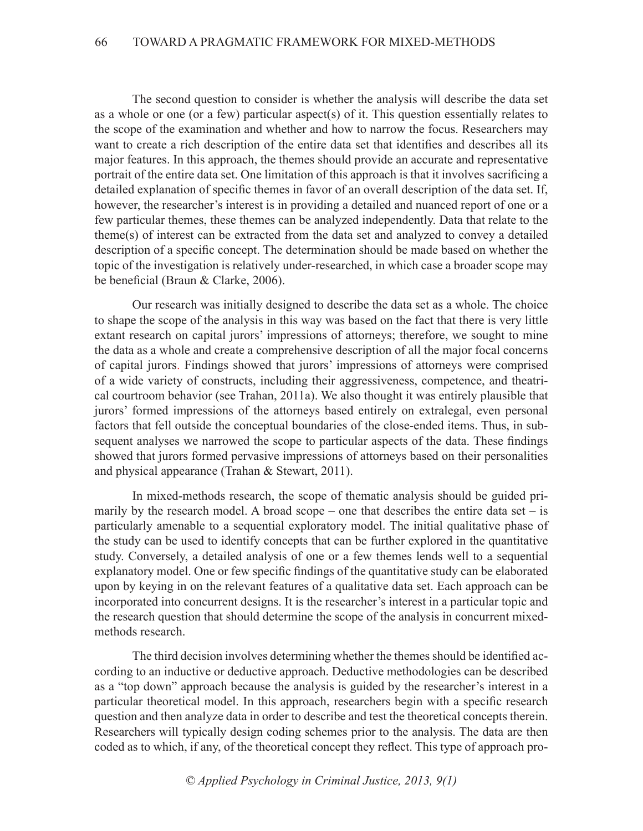The second question to consider is whether the analysis will describe the data set as a whole or one (or a few) particular aspect(s) of it. This question essentially relates to the scope of the examination and whether and how to narrow the focus. Researchers may want to create a rich description of the entire data set that identifies and describes all its major features. In this approach, the themes should provide an accurate and representative portrait of the entire data set. One limitation of this approach is that it involves sacrificing a detailed explanation of specific themes in favor of an overall description of the data set. If, however, the researcher's interest is in providing a detailed and nuanced report of one or a few particular themes, these themes can be analyzed independently. Data that relate to the theme(s) of interest can be extracted from the data set and analyzed to convey a detailed description of a specific concept. The determination should be made based on whether the topic of the investigation is relatively under-researched, in which case a broader scope may be beneficial (Braun & Clarke, 2006).

Our research was initially designed to describe the data set as a whole. The choice to shape the scope of the analysis in this way was based on the fact that there is very little extant research on capital jurors' impressions of attorneys; therefore, we sought to mine the data as a whole and create a comprehensive description of all the major focal concerns of capital jurors. Findings showed that jurors' impressions of attorneys were comprised of a wide variety of constructs, including their aggressiveness, competence, and theatrical courtroom behavior (see Trahan, 2011a). We also thought it was entirely plausible that jurors' formed impressions of the attorneys based entirely on extralegal, even personal factors that fell outside the conceptual boundaries of the close-ended items. Thus, in subsequent analyses we narrowed the scope to particular aspects of the data. These findings showed that jurors formed pervasive impressions of attorneys based on their personalities and physical appearance (Trahan & Stewart, 2011).

In mixed-methods research, the scope of thematic analysis should be guided primarily by the research model. A broad scope – one that describes the entire data set – is particularly amenable to a sequential exploratory model. The initial qualitative phase of the study can be used to identify concepts that can be further explored in the quantitative study. Conversely, a detailed analysis of one or a few themes lends well to a sequential explanatory model. One or few specific findings of the quantitative study can be elaborated upon by keying in on the relevant features of a qualitative data set. Each approach can be incorporated into concurrent designs. It is the researcher's interest in a particular topic and the research question that should determine the scope of the analysis in concurrent mixedmethods research.

The third decision involves determining whether the themes should be identified according to an inductive or deductive approach. Deductive methodologies can be described as a "top down" approach because the analysis is guided by the researcher's interest in a particular theoretical model. In this approach, researchers begin with a specific research question and then analyze data in order to describe and test the theoretical concepts therein. Researchers will typically design coding schemes prior to the analysis. The data are then coded as to which, if any, of the theoretical concept they reflect. This type of approach pro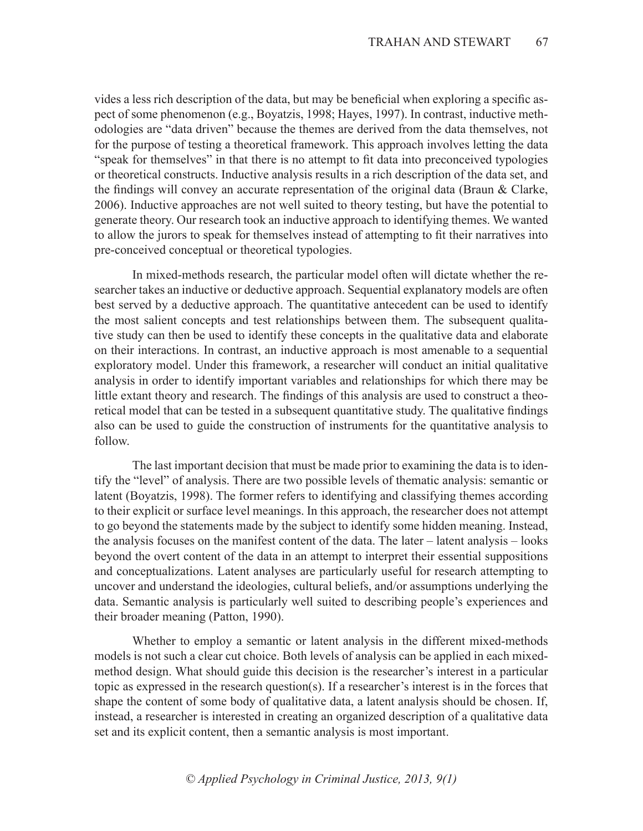vides a less rich description of the data, but may be beneficial when exploring a specific aspect of some phenomenon (e.g., Boyatzis, 1998; Hayes, 1997). In contrast, inductive methodologies are "data driven" because the themes are derived from the data themselves, not for the purpose of testing a theoretical framework. This approach involves letting the data "speak for themselves" in that there is no attempt to fit data into preconceived typologies or theoretical constructs. Inductive analysis results in a rich description of the data set, and the findings will convey an accurate representation of the original data (Braun & Clarke, 2006). Inductive approaches are not well suited to theory testing, but have the potential to generate theory. Our research took an inductive approach to identifying themes. We wanted to allow the jurors to speak for themselves instead of attempting to fit their narratives into pre-conceived conceptual or theoretical typologies.

In mixed-methods research, the particular model often will dictate whether the researcher takes an inductive or deductive approach. Sequential explanatory models are often best served by a deductive approach. The quantitative antecedent can be used to identify the most salient concepts and test relationships between them. The subsequent qualitative study can then be used to identify these concepts in the qualitative data and elaborate on their interactions. In contrast, an inductive approach is most amenable to a sequential exploratory model. Under this framework, a researcher will conduct an initial qualitative analysis in order to identify important variables and relationships for which there may be little extant theory and research. The findings of this analysis are used to construct a theoretical model that can be tested in a subsequent quantitative study. The qualitative findings also can be used to guide the construction of instruments for the quantitative analysis to follow.

The last important decision that must be made prior to examining the data is to identify the "level" of analysis. There are two possible levels of thematic analysis: semantic or latent (Boyatzis, 1998). The former refers to identifying and classifying themes according to their explicit or surface level meanings. In this approach, the researcher does not attempt to go beyond the statements made by the subject to identify some hidden meaning. Instead, the analysis focuses on the manifest content of the data. The later – latent analysis – looks beyond the overt content of the data in an attempt to interpret their essential suppositions and conceptualizations. Latent analyses are particularly useful for research attempting to uncover and understand the ideologies, cultural beliefs, and/or assumptions underlying the data. Semantic analysis is particularly well suited to describing people's experiences and their broader meaning (Patton, 1990).

Whether to employ a semantic or latent analysis in the different mixed-methods models is not such a clear cut choice. Both levels of analysis can be applied in each mixedmethod design. What should guide this decision is the researcher's interest in a particular topic as expressed in the research question(s). If a researcher's interest is in the forces that shape the content of some body of qualitative data, a latent analysis should be chosen. If, instead, a researcher is interested in creating an organized description of a qualitative data set and its explicit content, then a semantic analysis is most important.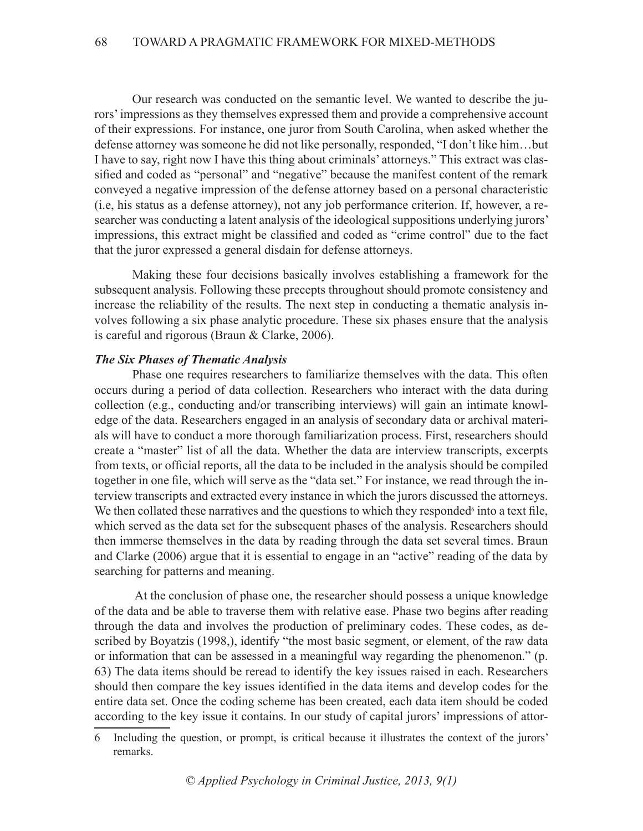Our research was conducted on the semantic level. We wanted to describe the jurors' impressions as they themselves expressed them and provide a comprehensive account of their expressions. For instance, one juror from South Carolina, when asked whether the defense attorney was someone he did not like personally, responded, "I don't like him…but I have to say, right now I have this thing about criminals' attorneys." This extract was classified and coded as "personal" and "negative" because the manifest content of the remark conveyed a negative impression of the defense attorney based on a personal characteristic (i.e, his status as a defense attorney), not any job performance criterion. If, however, a researcher was conducting a latent analysis of the ideological suppositions underlying jurors' impressions, this extract might be classified and coded as "crime control" due to the fact that the juror expressed a general disdain for defense attorneys.

Making these four decisions basically involves establishing a framework for the subsequent analysis. Following these precepts throughout should promote consistency and increase the reliability of the results. The next step in conducting a thematic analysis involves following a six phase analytic procedure. These six phases ensure that the analysis is careful and rigorous (Braun & Clarke, 2006).

# *The Six Phases of Thematic Analysis*

Phase one requires researchers to familiarize themselves with the data. This often occurs during a period of data collection. Researchers who interact with the data during collection (e.g., conducting and/or transcribing interviews) will gain an intimate knowledge of the data. Researchers engaged in an analysis of secondary data or archival materials will have to conduct a more thorough familiarization process. First, researchers should create a "master" list of all the data. Whether the data are interview transcripts, excerpts from texts, or official reports, all the data to be included in the analysis should be compiled together in one file, which will serve as the "data set." For instance, we read through the interview transcripts and extracted every instance in which the jurors discussed the attorneys. We then collated these narratives and the questions to which they responded $6$  into a text file, which served as the data set for the subsequent phases of the analysis. Researchers should then immerse themselves in the data by reading through the data set several times. Braun and Clarke (2006) argue that it is essential to engage in an "active" reading of the data by searching for patterns and meaning.

 At the conclusion of phase one, the researcher should possess a unique knowledge of the data and be able to traverse them with relative ease. Phase two begins after reading through the data and involves the production of preliminary codes. These codes, as described by Boyatzis (1998,), identify "the most basic segment, or element, of the raw data or information that can be assessed in a meaningful way regarding the phenomenon." (p. 63) The data items should be reread to identify the key issues raised in each. Researchers should then compare the key issues identified in the data items and develop codes for the entire data set. Once the coding scheme has been created, each data item should be coded according to the key issue it contains. In our study of capital jurors' impressions of attor-

<sup>6</sup> Including the question, or prompt, is critical because it illustrates the context of the jurors' remarks.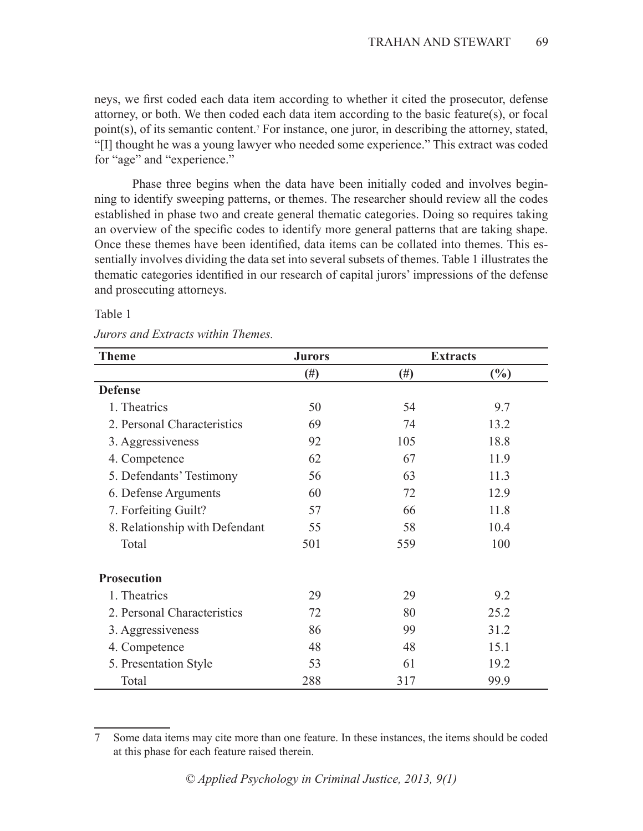neys, we first coded each data item according to whether it cited the prosecutor, defense attorney, or both. We then coded each data item according to the basic feature(s), or focal point(s), of its semantic content.<sup>7</sup> For instance, one juror, in describing the attorney, stated, "[I] thought he was a young lawyer who needed some experience." This extract was coded for "age" and "experience."

Phase three begins when the data have been initially coded and involves beginning to identify sweeping patterns, or themes. The researcher should review all the codes established in phase two and create general thematic categories. Doing so requires taking an overview of the specific codes to identify more general patterns that are taking shape. Once these themes have been identified, data items can be collated into themes. This essentially involves dividing the data set into several subsets of themes. Table 1 illustrates the thematic categories identified in our research of capital jurors' impressions of the defense and prosecuting attorneys.

Table 1

| <b>Theme</b>                   | <b>Jurors</b> | <b>Extracts</b> |        |
|--------------------------------|---------------|-----------------|--------|
|                                | $(\#)$        | $(\#)$          | $(\%)$ |
| <b>Defense</b>                 |               |                 |        |
| 1. Theatrics                   | 50            | 54              | 9.7    |
| 2. Personal Characteristics    | 69            | 74              | 13.2   |
| 3. Aggressiveness              | 92            | 105             | 18.8   |
| 4. Competence                  | 62            | 67              | 11.9   |
| 5. Defendants' Testimony       | 56            | 63              | 11.3   |
| 6. Defense Arguments           | 60            | 72              | 12.9   |
| 7. Forfeiting Guilt?           | 57            | 66              | 11.8   |
| 8. Relationship with Defendant | 55            | 58              | 10.4   |
| Total                          | 501           | 559             | 100    |
| <b>Prosecution</b>             |               |                 |        |
| 1. Theatrics                   | 29            | 29              | 9.2    |
| 2. Personal Characteristics    | 72            | 80              | 25.2   |
| 3. Aggressiveness              | 86            | 99              | 31.2   |
| 4. Competence                  | 48            | 48              | 15.1   |
| 5. Presentation Style          | 53            | 61              | 19.2   |
| Total                          | 288           | 317             | 99.9   |

*Jurors and Extracts within Themes.*

<sup>7</sup> Some data items may cite more than one feature. In these instances, the items should be coded at this phase for each feature raised therein.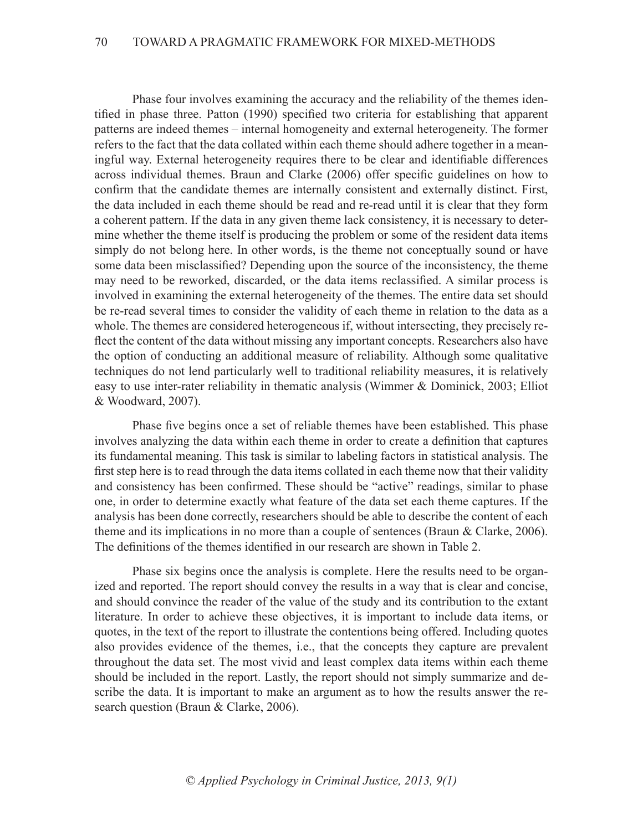Phase four involves examining the accuracy and the reliability of the themes identified in phase three. Patton (1990) specified two criteria for establishing that apparent patterns are indeed themes – internal homogeneity and external heterogeneity. The former refers to the fact that the data collated within each theme should adhere together in a meaningful way. External heterogeneity requires there to be clear and identifiable differences across individual themes. Braun and Clarke (2006) offer specific guidelines on how to confirm that the candidate themes are internally consistent and externally distinct. First, the data included in each theme should be read and re-read until it is clear that they form a coherent pattern. If the data in any given theme lack consistency, it is necessary to determine whether the theme itself is producing the problem or some of the resident data items simply do not belong here. In other words, is the theme not conceptually sound or have some data been misclassified? Depending upon the source of the inconsistency, the theme may need to be reworked, discarded, or the data items reclassified. A similar process is involved in examining the external heterogeneity of the themes. The entire data set should be re-read several times to consider the validity of each theme in relation to the data as a whole. The themes are considered heterogeneous if, without intersecting, they precisely reflect the content of the data without missing any important concepts. Researchers also have the option of conducting an additional measure of reliability. Although some qualitative techniques do not lend particularly well to traditional reliability measures, it is relatively easy to use inter-rater reliability in thematic analysis (Wimmer & Dominick, 2003; Elliot & Woodward, 2007).

Phase five begins once a set of reliable themes have been established. This phase involves analyzing the data within each theme in order to create a definition that captures its fundamental meaning. This task is similar to labeling factors in statistical analysis. The first step here is to read through the data items collated in each theme now that their validity and consistency has been confirmed. These should be "active" readings, similar to phase one, in order to determine exactly what feature of the data set each theme captures. If the analysis has been done correctly, researchers should be able to describe the content of each theme and its implications in no more than a couple of sentences (Braun & Clarke, 2006). The definitions of the themes identified in our research are shown in Table 2.

Phase six begins once the analysis is complete. Here the results need to be organized and reported. The report should convey the results in a way that is clear and concise, and should convince the reader of the value of the study and its contribution to the extant literature. In order to achieve these objectives, it is important to include data items, or quotes, in the text of the report to illustrate the contentions being offered. Including quotes also provides evidence of the themes, i.e., that the concepts they capture are prevalent throughout the data set. The most vivid and least complex data items within each theme should be included in the report. Lastly, the report should not simply summarize and describe the data. It is important to make an argument as to how the results answer the research question (Braun & Clarke, 2006).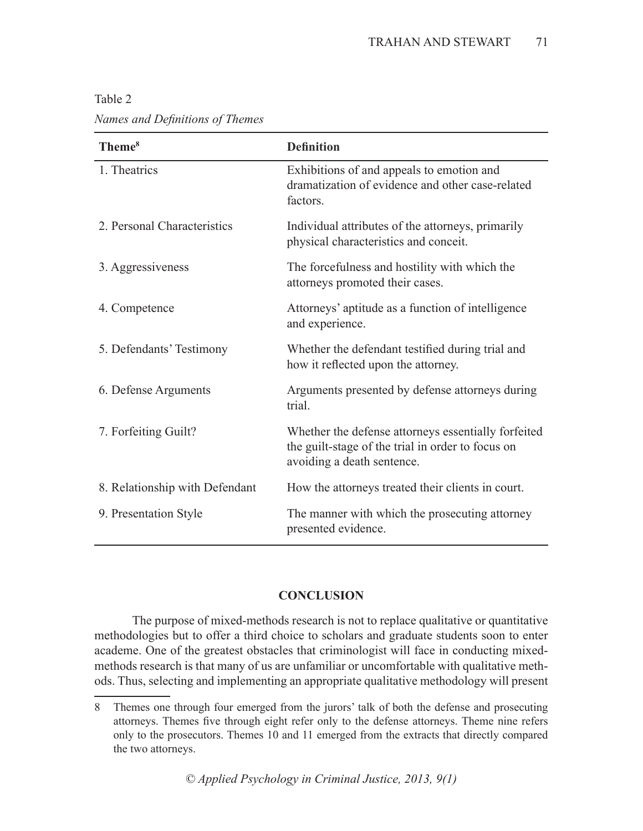| Theme <sup>8</sup>             | <b>Definition</b>                                                                                                                      |
|--------------------------------|----------------------------------------------------------------------------------------------------------------------------------------|
| 1. Theatrics                   | Exhibitions of and appeals to emotion and<br>dramatization of evidence and other case-related<br>factors.                              |
| 2. Personal Characteristics    | Individual attributes of the attorneys, primarily<br>physical characteristics and conceit.                                             |
| 3. Aggressiveness              | The forcefulness and hostility with which the<br>attorneys promoted their cases.                                                       |
| 4. Competence                  | Attorneys' aptitude as a function of intelligence<br>and experience.                                                                   |
| 5. Defendants' Testimony       | Whether the defendant testified during trial and<br>how it reflected upon the attorney.                                                |
| 6. Defense Arguments           | Arguments presented by defense attorneys during<br>trial.                                                                              |
| 7. Forfeiting Guilt?           | Whether the defense attorneys essentially forfeited<br>the guilt-stage of the trial in order to focus on<br>avoiding a death sentence. |
| 8. Relationship with Defendant | How the attorneys treated their clients in court.                                                                                      |
| 9. Presentation Style          | The manner with which the prosecuting attorney<br>presented evidence.                                                                  |

Table 2 *Names and Definitions of Themes*

# **Conclusion**

The purpose of mixed-methods research is not to replace qualitative or quantitative methodologies but to offer a third choice to scholars and graduate students soon to enter academe. One of the greatest obstacles that criminologist will face in conducting mixedmethods research is that many of us are unfamiliar or uncomfortable with qualitative methods. Thus, selecting and implementing an appropriate qualitative methodology will present

<sup>8</sup> Themes one through four emerged from the jurors' talk of both the defense and prosecuting attorneys. Themes five through eight refer only to the defense attorneys. Theme nine refers only to the prosecutors. Themes 10 and 11 emerged from the extracts that directly compared the two attorneys.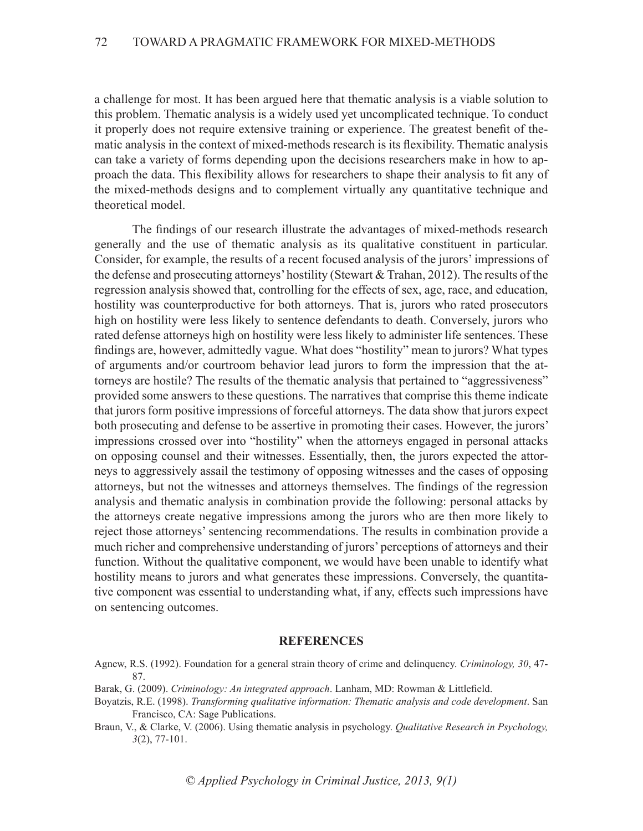a challenge for most. It has been argued here that thematic analysis is a viable solution to this problem. Thematic analysis is a widely used yet uncomplicated technique. To conduct it properly does not require extensive training or experience. The greatest benefit of thematic analysis in the context of mixed-methods research is its flexibility. Thematic analysis can take a variety of forms depending upon the decisions researchers make in how to approach the data. This flexibility allows for researchers to shape their analysis to fit any of the mixed-methods designs and to complement virtually any quantitative technique and theoretical model.

The findings of our research illustrate the advantages of mixed-methods research generally and the use of thematic analysis as its qualitative constituent in particular. Consider, for example, the results of a recent focused analysis of the jurors' impressions of the defense and prosecuting attorneys' hostility (Stewart & Trahan, 2012). The results of the regression analysis showed that, controlling for the effects of sex, age, race, and education, hostility was counterproductive for both attorneys. That is, jurors who rated prosecutors high on hostility were less likely to sentence defendants to death. Conversely, jurors who rated defense attorneys high on hostility were less likely to administer life sentences. These findings are, however, admittedly vague. What does "hostility" mean to jurors? What types of arguments and/or courtroom behavior lead jurors to form the impression that the attorneys are hostile? The results of the thematic analysis that pertained to "aggressiveness" provided some answers to these questions. The narratives that comprise this theme indicate that jurors form positive impressions of forceful attorneys. The data show that jurors expect both prosecuting and defense to be assertive in promoting their cases. However, the jurors' impressions crossed over into "hostility" when the attorneys engaged in personal attacks on opposing counsel and their witnesses. Essentially, then, the jurors expected the attorneys to aggressively assail the testimony of opposing witnesses and the cases of opposing attorneys, but not the witnesses and attorneys themselves. The findings of the regression analysis and thematic analysis in combination provide the following: personal attacks by the attorneys create negative impressions among the jurors who are then more likely to reject those attorneys' sentencing recommendations. The results in combination provide a much richer and comprehensive understanding of jurors' perceptions of attorneys and their function. Without the qualitative component, we would have been unable to identify what hostility means to jurors and what generates these impressions. Conversely, the quantitative component was essential to understanding what, if any, effects such impressions have on sentencing outcomes.

#### **References**

- Agnew, R.S. (1992). Foundation for a general strain theory of crime and delinquency. *Criminology, 30*, 47- 87.
- Barak, G. (2009). *Criminology: An integrated approach*. Lanham, MD: Rowman & Littlefield.
- Boyatzis, R.E. (1998). *Transforming qualitative information: Thematic analysis and code development*. San Francisco, CA: Sage Publications.
- Braun, V., & Clarke, V. (2006). Using thematic analysis in psychology. *Qualitative Research in Psychology, 3*(2), 77-101.

*© Applied Psychology in Criminal Justice, 2013, 9(1)*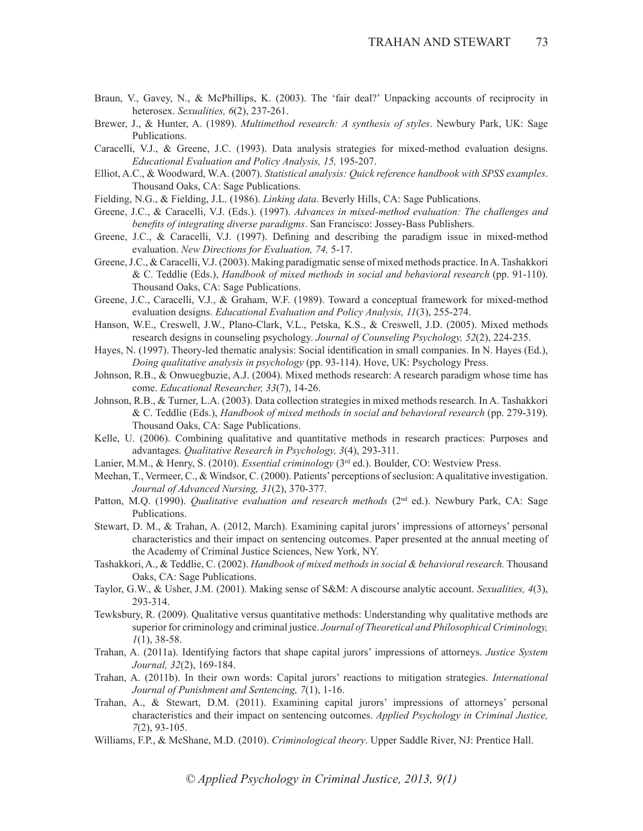- Braun, V., Gavey, N., & McPhillips, K. (2003). The 'fair deal?' Unpacking accounts of reciprocity in heterosex. *Sexualities, 6*(2), 237-261.
- Brewer, J., & Hunter, A. (1989). *Multimethod research: A synthesis of styles*. Newbury Park, UK: Sage Publications.
- Caracelli, V.J., & Greene, J.C. (1993). Data analysis strategies for mixed-method evaluation designs. *Educational Evaluation and Policy Analysis, 15,* 195-207.
- Elliot, A.C., & Woodward, W.A. (2007). *Statistical analysis: Quick reference handbook with SPSS examples*. Thousand Oaks, CA: Sage Publications.
- Fielding, N.G., & Fielding, J.L. (1986). *Linking data*. Beverly Hills, CA: Sage Publications.
- Greene, J.C., & Caracelli, V.J. (Eds.). (1997). *Advances in mixed-method evaluation: The challenges and benefits of integrating diverse paradigms*. San Francisco: Jossey-Bass Publishers.
- Greene, J.C., & Caracelli, V.J. (1997). Defining and describing the paradigm issue in mixed-method evaluation. *New Directions for Evaluation, 74,* 5-17.
- Greene, J.C., & Caracelli, V.J. (2003). Making paradigmatic sense of mixed methods practice. In A. Tashakkori & C. Teddlie (Eds.), *Handbook of mixed methods in social and behavioral research* (pp. 91-110). Thousand Oaks, CA: Sage Publications.
- Greene, J.C., Caracelli, V.J., & Graham, W.F. (1989). Toward a conceptual framework for mixed-method evaluation designs. *Educational Evaluation and Policy Analysis, 11*(3), 255-274.
- Hanson, W.E., Creswell, J.W., Plano-Clark, V.L., Petska, K.S., & Creswell, J.D. (2005). Mixed methods research designs in counseling psychology. *Journal of Counseling Psychology, 52*(2), 224-235.
- Hayes, N. (1997). Theory-led thematic analysis: Social identification in small companies. In N. Hayes (Ed.), *Doing qualitative analysis in psychology* (pp. 93-114). Hove, UK: Psychology Press.
- Johnson, R.B., & Onwuegbuzie, A.J. (2004). Mixed methods research: A research paradigm whose time has come. *Educational Researcher, 33*(7), 14-26.
- Johnson, R.B., & Turner, L.A. (2003). Data collection strategies in mixed methods research. In A. Tashakkori & C. Teddlie (Eds.), *Handbook of mixed methods in social and behavioral research* (pp. 279-319). Thousand Oaks, CA: Sage Publications.
- Kelle, U. (2006). Combining qualitative and quantitative methods in research practices: Purposes and advantages. *Qualitative Research in Psychology, 3*(4), 293-311.
- Lanier, M.M., & Henry, S. (2010). *Essential criminology* (3<sup>rd</sup> ed.). Boulder, CO: Westview Press.
- Meehan, T., Vermeer, C., & Windsor, C. (2000). Patients' perceptions of seclusion: A qualitative investigation. *Journal of Advanced Nursing, 31*(2), 370-377.
- Patton, M.Q. (1990). *Qualitative evaluation and research methods* (2<sup>nd</sup> ed.). Newbury Park, CA: Sage Publications.
- Stewart, D. M., & Trahan, A. (2012, March). Examining capital jurors' impressions of attorneys' personal characteristics and their impact on sentencing outcomes. Paper presented at the annual meeting of the Academy of Criminal Justice Sciences, New York, NY.
- Tashakkori, A., & Teddlie, C. (2002). *Handbook of mixed methods in social & behavioral research.* Thousand Oaks, CA: Sage Publications.
- Taylor, G.W., & Usher, J.M. (2001). Making sense of S&M: A discourse analytic account. *Sexualities, 4*(3), 293-314.
- Tewksbury, R. (2009). Qualitative versus quantitative methods: Understanding why qualitative methods are superior for criminology and criminal justice. *Journal of Theoretical and Philosophical Criminology, 1*(1), 38-58.
- Trahan, A. (2011a). Identifying factors that shape capital jurors' impressions of attorneys. *Justice System Journal, 32*(2), 169-184.
- Trahan, A. (2011b). In their own words: Capital jurors' reactions to mitigation strategies. *International Journal of Punishment and Sentencing, 7*(1), 1-16.
- Trahan, A., & Stewart, D.M. (2011). Examining capital jurors' impressions of attorneys' personal characteristics and their impact on sentencing outcomes. *Applied Psychology in Criminal Justice, 7*(2), 93-105.
- Williams, F.P., & McShane, M.D. (2010). *Criminological theory*. Upper Saddle River, NJ: Prentice Hall.

*© Applied Psychology in Criminal Justice, 2013, 9(1)*